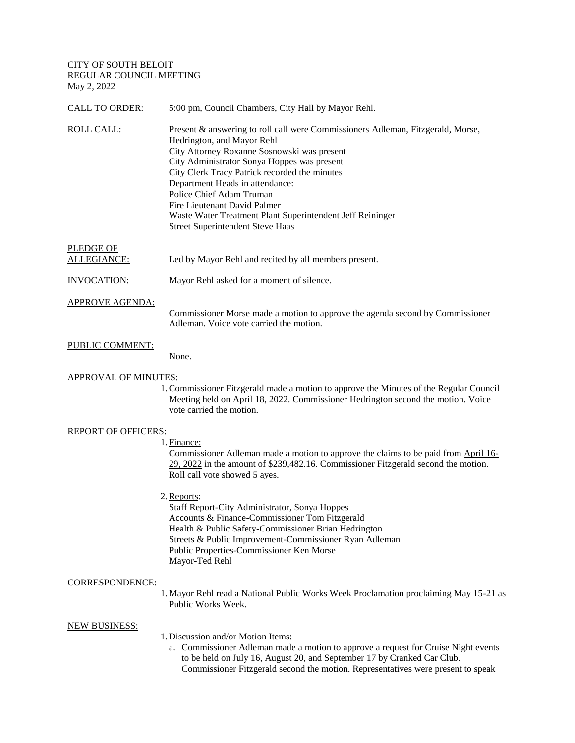CITY OF SOUTH BELOIT REGULAR COUNCIL MEETING May 2, 2022

| <b>CALL TO ORDER:</b>       | 5:00 pm, Council Chambers, City Hall by Mayor Rehl.                                                                                                                                                                                                                                                                                                                                                                                                                 |
|-----------------------------|---------------------------------------------------------------------------------------------------------------------------------------------------------------------------------------------------------------------------------------------------------------------------------------------------------------------------------------------------------------------------------------------------------------------------------------------------------------------|
| <b>ROLL CALL:</b>           | Present & answering to roll call were Commissioners Adleman, Fitzgerald, Morse,<br>Hedrington, and Mayor Rehl<br>City Attorney Roxanne Sosnowski was present<br>City Administrator Sonya Hoppes was present<br>City Clerk Tracy Patrick recorded the minutes<br>Department Heads in attendance:<br>Police Chief Adam Truman<br>Fire Lieutenant David Palmer<br>Waste Water Treatment Plant Superintendent Jeff Reininger<br><b>Street Superintendent Steve Haas</b> |
| PLEDGE OF<br>ALLEGIANCE:    | Led by Mayor Rehl and recited by all members present.                                                                                                                                                                                                                                                                                                                                                                                                               |
| <b>INVOCATION:</b>          | Mayor Rehl asked for a moment of silence.                                                                                                                                                                                                                                                                                                                                                                                                                           |
| <b>APPROVE AGENDA:</b>      | Commissioner Morse made a motion to approve the agenda second by Commissioner<br>Adleman. Voice vote carried the motion.                                                                                                                                                                                                                                                                                                                                            |
| PUBLIC COMMENT:             | None.                                                                                                                                                                                                                                                                                                                                                                                                                                                               |
| <b>APPROVAL OF MINUTES:</b> |                                                                                                                                                                                                                                                                                                                                                                                                                                                                     |

1.Commissioner Fitzgerald made a motion to approve the Minutes of the Regular Council Meeting held on April 18, 2022. Commissioner Hedrington second the motion. Voice vote carried the motion.

### REPORT OF OFFICERS:

# 1. Finance:

Commissioner Adleman made a motion to approve the claims to be paid from April 16- 29, 2022 in the amount of \$239,482.16. Commissioner Fitzgerald second the motion. Roll call vote showed 5 ayes.

2.Reports:

Staff Report-City Administrator, Sonya Hoppes Accounts & Finance-Commissioner Tom Fitzgerald Health & Public Safety-Commissioner Brian Hedrington Streets & Public Improvement-Commissioner Ryan Adleman Public Properties-Commissioner Ken Morse Mayor-Ted Rehl

## CORRESPONDENCE:

1.Mayor Rehl read a National Public Works Week Proclamation proclaiming May 15-21 as Public Works Week.

### NEW BUSINESS:

- 1. Discussion and/or Motion Items:
	- a. Commissioner Adleman made a motion to approve a request for Cruise Night events to be held on July 16, August 20, and September 17 by Cranked Car Club. Commissioner Fitzgerald second the motion. Representatives were present to speak